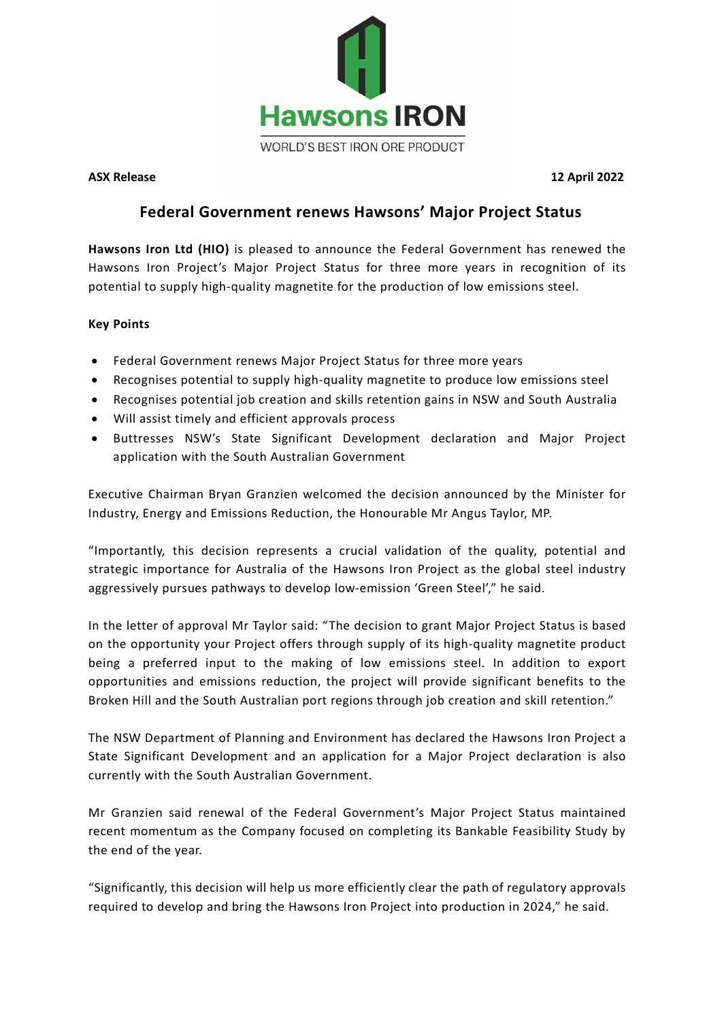

**ASX Release 12 April 2022**

# **Federal Government renews Hawsons' Major Project Status**

**Hawsons Iron Ltd (HIO)** is pleased to announce the Federal Government has renewed the Hawsons Iron Project's Major Project Status for three more years in recognition of its potential to supply high-quality magnetite for the production of low emissions steel.

# **Key Points**

- Federal Government renews Major Project Status for three more years
- Recognises potential to supply high-quality magnetite to produce low emissions steel
- Recognises potential job creation and skills retention gains in NSW and South Australia
- Will assist timely and efficient approvals process
- Buttresses NSW's State Significant Development declaration and Major Project application with the South Australian Government

Executive Chairman Bryan Granzien welcomed the decision announced by the Minister for Industry, Energy and Emissions Reduction, the Honourable Mr Angus Taylor, MP.

"Importantly, this decision represents a crucial validation of the quality, potential and strategic importance for Australia of the Hawsons Iron Project as the global steel industry aggressively pursues pathways to develop low-emission 'Green Steel'," he said.

In the letter of approval Mr Taylor said: "The decision to grant Major Project Status is based on the opportunity your Project offers through supply of its high-quality magnetite product being a preferred input to the making of low emissions steel. In addition to export opportunities and emissions reduction, the project will provide significant benefits to the Broken Hill and the South Australian port regions through job creation and skill retention."

The NSW Department of Planning and Environment has declared the Hawsons Iron Project a State Significant Development and an application for a Major Project declaration is also currently with the South Australian Government.

Mr Granzien said renewal of the Federal Government's Major Project Status maintained recent momentum as the Company focused on completing its Bankable Feasibility Study by the end of the year.

"Significantly, this decision will help us more efficiently clear the path of regulatory approvals required to develop and bring the Hawsons Iron Project into production in 2024," he said.